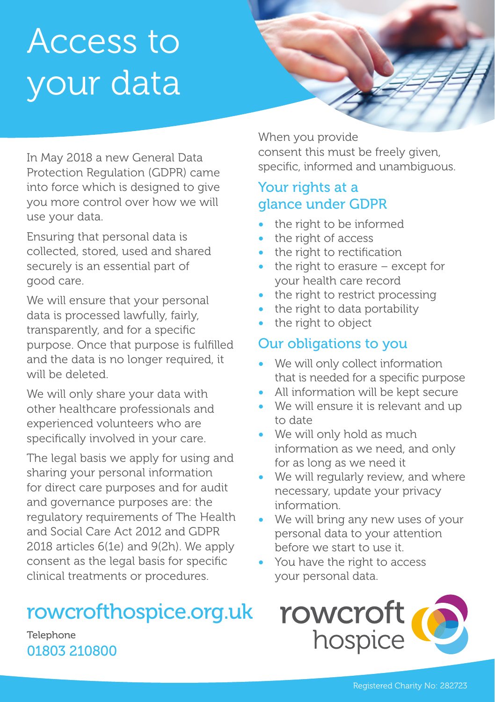# Access to your data

In May 2018 a new General Data Protection Regulation (GDPR) came into force which is designed to give you more control over how we will use your data.

Ensuring that personal data is collected, stored, used and shared securely is an essential part of good care.

We will ensure that your personal data is processed lawfully, fairly, transparently, and for a specific purpose. Once that purpose is fulfilled and the data is no longer required, it will be deleted.

We will only share your data with other healthcare professionals and experienced volunteers who are specifically involved in your care.

The legal basis we apply for using and sharing your personal information for direct care purposes and for audit and governance purposes are: the regulatory requirements of The Health and Social Care Act 2012 and GDPR 2018 articles 6(1e) and 9(2h). We apply consent as the legal basis for specific clinical treatments or procedures.

# rowcrofthospice.org.uk

**Telephone** 01803 210800

When you provide consent this must be freely given, specific, informed and unambiguous.

#### Your rights at a glance under GDPR

- the right to be informed
- the right of access
- the right to rectification
- the right to erasure  $-$  except for your health care record
- the right to restrict processing
- the right to data portability
- the right to object

# Our obligations to you

- We will only collect information that is needed for a specific purpose
- All information will be kept secure
- We will ensure it is relevant and up to date
- We will only hold as much information as we need, and only for as long as we need it
- We will regularly review, and where necessary, update your privacy information.
- We will bring any new uses of your personal data to your attention before we start to use it.
- You have the right to access your personal data.